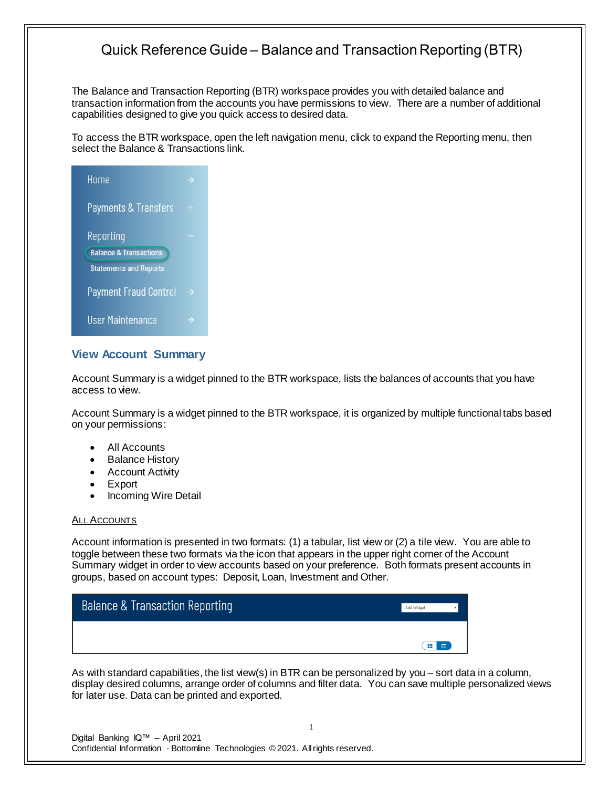The Balance and Transaction Reporting (BTR) workspace provides you with detailed balance and transaction information from the accounts you have permissions to view. There are a number of additional capabilities designed to give you quick access to desired data.

To access the BTR workspace, open the left navigation menu, click to expand the Reporting menu, then select the Balance & Transactions link.



### **View Account Summary**

Account Summary is a widget pinned to the BTR workspace, lists the balances of accounts that you have access to view.

Account Summary is a widget pinned to the BTR workspace, it is organized by multiple functional tabs based on your permissions:

- All Accounts
- **Balance History**
- **Account Activity**
- **Export**
- Incoming Wire Detail

#### **ALL ACCOUNTS**

Account information is presented in two formats: (1) a tabular, list view or (2) a tile view. You are able to toggle between these two formats via the icon that appears in the upper right corner of the Account Summary widget in order to view accounts based on your preference. Both formats present accounts in groups, based on account types: Deposit, Loan, Investment and Other.

| <b>Balance &amp; Transaction Reporting</b> | <b>Add Widget</b> |  |
|--------------------------------------------|-------------------|--|
|                                            | $\mathbf{H}$ and  |  |

As with standard capabilities, the list view(s) in BTR can be personalized by you – sort data in a column, display desired columns, arrange order of columns and filter data. You can save multiple personalized views for later use. Data can be printed and exported.

1

Digital Banking IQ™ – April 2021 Confidential Information - Bottomline Technologies © 2021. Allrights reserved.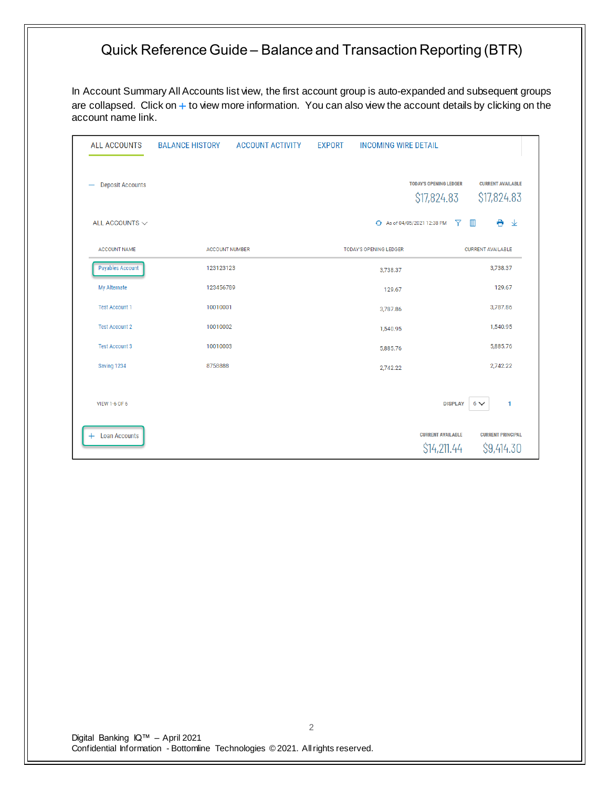In Account Summary All Accounts list view, the first account group is auto-expanded and subsequent groups are collapsed. Click on  $+$  to view more information. You can also view the account details by clicking on the account name link.

| <b>ALL ACCOUNTS</b>          | <b>BALANCE HISTORY</b><br><b>ACCOUNT ACTIVITY</b> | <b>EXPORT</b><br><b>INCOMING WIRE DETAIL</b>   |                                         |
|------------------------------|---------------------------------------------------|------------------------------------------------|-----------------------------------------|
| <b>Deposit Accounts</b><br>- |                                                   | <b>TODAY'S OPENING LEDGER</b><br>\$17,824.83   | <b>CURRENT AVAILABLE</b><br>\$17,824.83 |
| ALL ACCOUNTS $\smallsmile$   |                                                   | ← As of 04/05/2021 12:38 PM<br>$\triangledown$ | m<br>€.<br>_⊻                           |
| <b>ACCOUNT NAME</b>          | <b>ACCOUNT NUMBER</b>                             | <b>TODAY'S OPENING LEDGER</b>                  | <b>CURRENT AVAILABLE</b>                |
| <b>Payables Account</b>      | 123123123                                         | 3,738.37                                       | 3,738.37                                |
| My Alternate                 | 123456789                                         | 129.67                                         | 129.67                                  |
| <b>Test Account 1</b>        | 10010001                                          | 3,787.86                                       | 3,787.86                                |
| <b>Test Account 2</b>        | 10010002                                          | 1,540.95                                       | 1,540.95                                |
| <b>Test Account 3</b>        | 10010003                                          | 5,885.76                                       | 5,885.76                                |
| Saving 1234                  | 8758888                                           | 2,742.22                                       | 2,742.22                                |
| <b>VIEW 1-6 OF 6</b>         |                                                   | <b>DISPLAY</b>                                 | $\mathbf{1}$<br>$6\vee$                 |
| <b>Loan Accounts</b><br>$+$  |                                                   | <b>CURRENT AVAILABLE</b><br>\$14,211.44        | <b>CURRENT PRINCIPAL</b><br>\$9,414.30  |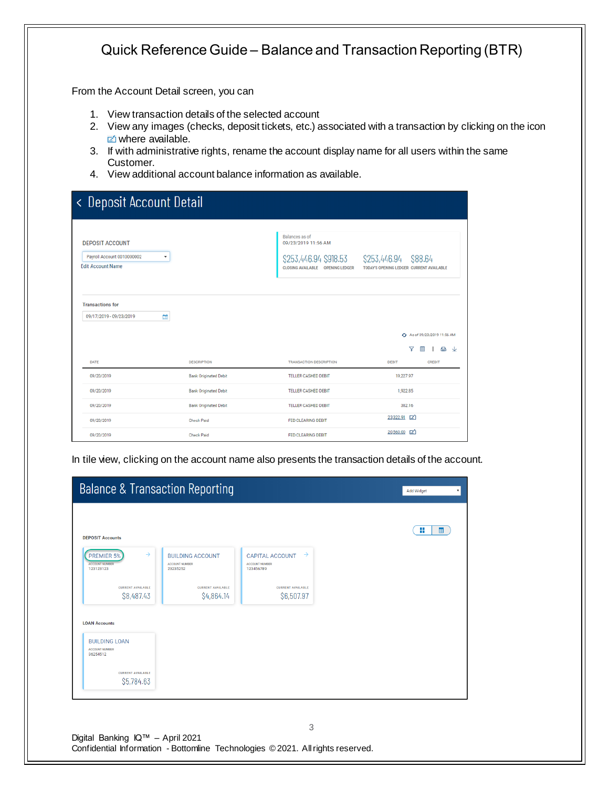From the Account Detail screen, you can

- 1. View transaction details of the selected account
- 2. View any images (checks, deposit tickets, etc.) associated with a transaction by clicking on the icon  $\triangleright$  where available.
- 3. If with administrative rights, rename the account display name for all users within the same Customer.
- 4. View additional account balance information as available.

| < Deposit Account Detail                                                              |                              |                                                                                                           |                                                                  |
|---------------------------------------------------------------------------------------|------------------------------|-----------------------------------------------------------------------------------------------------------|------------------------------------------------------------------|
| <b>DEPOSIT ACCOUNT</b><br>Payroll Account 0010000002<br>۰<br><b>Edit Account Name</b> |                              | Balances as of<br>09/23/2019 11:56 AM<br>\$253,446.94 \$918.53<br><b>CLOSING AVAILABLE OPENING LEDGER</b> | \$253,446.94 \$88.64<br>TODAY'S OPENING LEDGER CURRENT AVAILABLE |
| <b>Transactions</b> for<br>09/17/2019 - 09/23/2019<br>曲                               |                              |                                                                                                           | + As of 09/23/2019 11:56 AM                                      |
| DATE                                                                                  | <b>DESCRIPTION</b>           | <b>TRANSACTION DESCRIPTION</b>                                                                            | Y<br>m<br>e<br>$\downarrow$<br><b>DEBIT</b><br>CREDIT            |
| 09/20/2019                                                                            | <b>Bank Originated Debit</b> | <b>TELLER CASHED DEBIT</b>                                                                                | 19,227.97                                                        |
| 09/20/2019                                                                            | <b>Bank Originated Debit</b> | TELLER CASHED DEBIT                                                                                       | 1,922.85                                                         |
| 09/20/2019                                                                            | <b>Bank Originated Debit</b> | TELLER CASHED DEBIT                                                                                       | 382.16                                                           |
| 09/20/2019                                                                            | <b>Check Paid</b>            | <b>FED CLEARING DEBIT</b>                                                                                 | 23.322.91 【                                                      |
| 09/20/2019                                                                            | Check Paid                   | FED CLEARING DEBIT                                                                                        | 20,560.00 [2]                                                    |

In tile view, clicking on the account name also presents the transaction details of the account.

| <b>Balance &amp; Transaction Reporting</b>                                        | <b>Add Widget</b><br>$\mathbf{v}$                                               |                                                                               |  |                  |
|-----------------------------------------------------------------------------------|---------------------------------------------------------------------------------|-------------------------------------------------------------------------------|--|------------------|
| <b>DEPOSIT Accounts</b>                                                           |                                                                                 |                                                                               |  | ÷<br><b>IIII</b> |
| $\rightarrow$<br><b>PREMIER 5%</b><br><b>ACCOUNT NUMBER</b><br>123123123          | <b>BUILDING ACCOUNT</b><br><b>ACCOUNT NUMBER</b><br>23235252                    | <b>CAPITAL ACCOUNT</b><br>$\rightarrow$<br><b>ACCOUNT NUMBER</b><br>123456789 |  |                  |
| <b>CURRENT AVAILABLE</b><br>\$8,487.43                                            | <b>CURRENT AVAILABLE</b><br>\$4,864.14                                          | <b>CURRENT AVAILABLE</b><br>\$6,507.97                                        |  |                  |
| <b>LOAN Accounts</b><br><b>BUILDING LOAN</b><br><b>ACCOUNT NUMBER</b><br>36254512 |                                                                                 |                                                                               |  |                  |
| <b>CURRENT AVAILABLE</b><br>\$5,784.63                                            |                                                                                 |                                                                               |  |                  |
|                                                                                   |                                                                                 |                                                                               |  |                  |
| Digital Banking IQ™ - April 2021                                                  | Confidential Information - Bottomline Technologies © 2021. All rights reserved. | 3                                                                             |  |                  |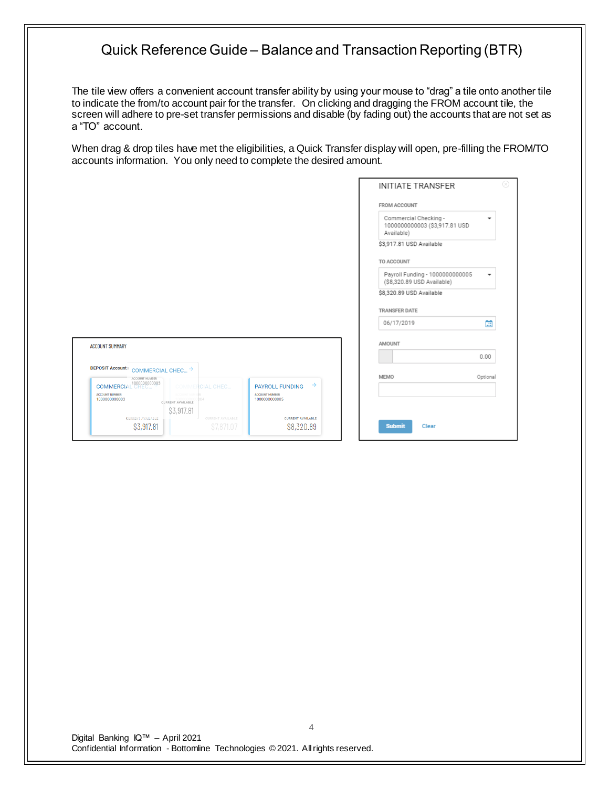The tile view offers a convenient account transfer ability by using your mouse to "drag" a tile onto another tile to indicate the from/to account pair for the transfer. On clicking and dragging the FROM account tile, the screen will adhere to pre-set transfer permissions and disable (by fading out) the accounts that are not set as a "TO" account.

When drag & drop tiles have met the eligibilities, a Quick Transfer display will open, pre-filling the FROM/TO accounts information. You only need to complete the desired amount.

|                                        |                                 |                                        |                                        |               | <b>INITIATE TRANSFER</b>                                             |                          |
|----------------------------------------|---------------------------------|----------------------------------------|----------------------------------------|---------------|----------------------------------------------------------------------|--------------------------|
|                                        |                                 |                                        |                                        |               | FROM ACCOUNT                                                         |                          |
|                                        |                                 |                                        |                                        |               | Commercial Checking -<br>1000000000003 (\$3,917.81 USD<br>Available) | $\overline{\phantom{0}}$ |
|                                        |                                 |                                        |                                        |               | \$3,917.81 USD Available                                             |                          |
|                                        |                                 |                                        |                                        |               | TO ACCOUNT                                                           |                          |
|                                        |                                 |                                        |                                        |               | Payroll Funding - 1000000000005<br>(\$8,320.89 USD Available)        | $\overline{\phantom{a}}$ |
|                                        |                                 |                                        |                                        |               | \$8,320.89 USD Available                                             |                          |
|                                        |                                 |                                        |                                        |               | <b>TRANSFER DATE</b>                                                 |                          |
|                                        |                                 |                                        |                                        |               |                                                                      |                          |
|                                        |                                 |                                        |                                        |               | 06/17/2019                                                           |                          |
|                                        |                                 |                                        |                                        |               | AMOUNT                                                               | 曲                        |
| <b>ACCOUNT SUMMARY</b>                 |                                 |                                        |                                        |               |                                                                      | 0.00                     |
| <b>DEPOSIT Accounts</b>                | COMMERCIAL CHEC $\rightarrow$   |                                        |                                        |               |                                                                      |                          |
| <b>COMMERCIAL CHEC</b>                 | ACCOUNT NUMBER<br>1000000000003 | <b>COMMERCIAL CHEC</b>                 | <b>PAYROLL FUNDING</b>                 | $\rightarrow$ | <b>MEMO</b>                                                          | Optional                 |
| <b>ACCOUNT NUMBER</b><br>1000000000003 | CURRENT AVAILABLE               |                                        | <b>ACCOUNT NUMBER</b><br>1000000000005 |               |                                                                      |                          |
|                                        | <b>CURRENT AVAILABLE</b>        | \$3,917.81<br><b>CURRENT AVAILABLE</b> | <b>CURRENT AVAILABLE</b>               |               |                                                                      |                          |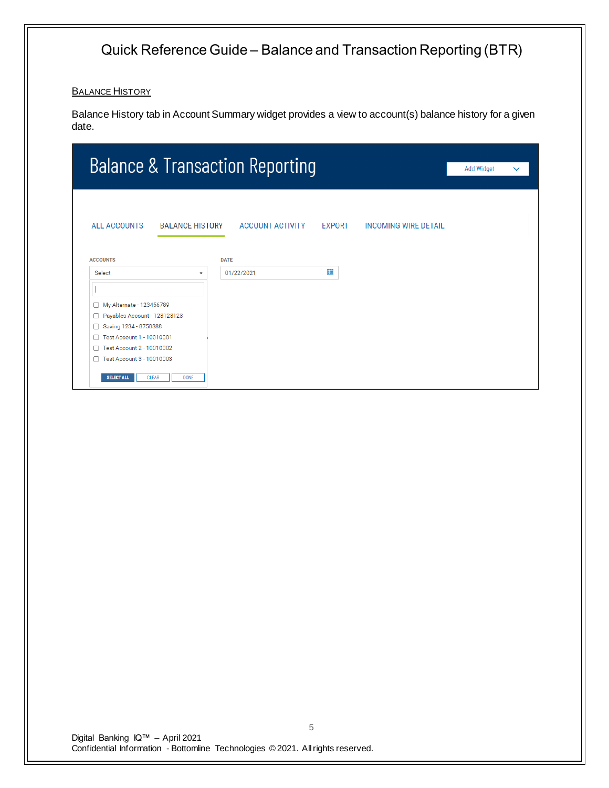**BALANCE HISTORY** 

Balance History tab in Account Summary widget provides a view to account(s) balance history for a given date.

|                                   |                          | <b>Balance &amp; Transaction Reporting</b> |        |                             | <b>Add Widget</b> | $\checkmark$ |  |
|-----------------------------------|--------------------------|--------------------------------------------|--------|-----------------------------|-------------------|--------------|--|
|                                   |                          |                                            |        |                             |                   |              |  |
|                                   |                          |                                            |        |                             |                   |              |  |
|                                   |                          |                                            |        |                             |                   |              |  |
|                                   |                          |                                            |        |                             |                   |              |  |
| <b>ALL ACCOUNTS</b>               | <b>BALANCE HISTORY</b>   | <b>ACCOUNT ACTIVITY</b>                    | EXPORT | <b>INCOMING WIRE DETAIL</b> |                   |              |  |
|                                   |                          |                                            |        |                             |                   |              |  |
| <b>ACCOUNTS</b>                   |                          | <b>DATE</b>                                |        |                             |                   |              |  |
| Select                            | $\overline{\phantom{a}}$ | 01/22/2021                                 | 囍      |                             |                   |              |  |
|                                   |                          |                                            |        |                             |                   |              |  |
|                                   |                          |                                            |        |                             |                   |              |  |
| My Alternate - 123456789<br>П     |                          |                                            |        |                             |                   |              |  |
| Payables Account - 123123123      |                          |                                            |        |                             |                   |              |  |
| Saving 1234 - 8758888             |                          |                                            |        |                             |                   |              |  |
| Test Account 1 - 10010001         |                          |                                            |        |                             |                   |              |  |
| Test Account 2 - 10010002         |                          |                                            |        |                             |                   |              |  |
| Test Account 3 - 10010003         |                          |                                            |        |                             |                   |              |  |
|                                   |                          |                                            |        |                             |                   |              |  |
| <b>CLEAR</b><br><b>SELECT ALL</b> | <b>DONE</b>              |                                            |        |                             |                   |              |  |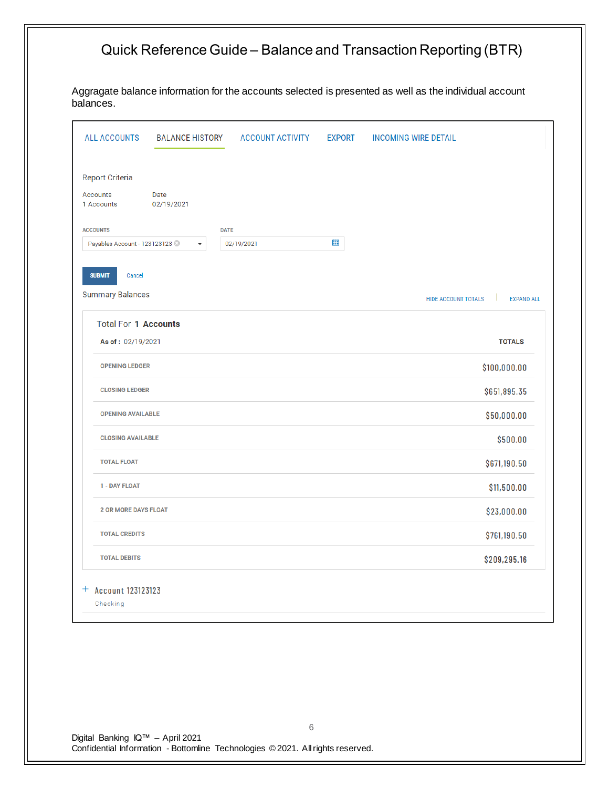Aggragate balance information for the accounts selected is presented as well as the individual account balances.

| <b>ALL ACCOUNTS</b>                                | <b>BALANCE HISTORY</b>                  | <b>ACCOUNT ACTIVITY</b> | <b>EXPORT</b> | <b>INCOMING WIRE DETAIL</b>                     |
|----------------------------------------------------|-----------------------------------------|-------------------------|---------------|-------------------------------------------------|
| Report Criteria<br>Accounts<br>1 Accounts          | Date<br>02/19/2021                      |                         |               |                                                 |
| <b>ACCOUNTS</b><br>Payables Account - 123123123    | <b>DATE</b><br>$\overline{\phantom{a}}$ | 02/19/2021              | 868           |                                                 |
| <b>SUBMIT</b><br>Cancel<br><b>Summary Balances</b> |                                         |                         |               |                                                 |
| <b>Total For 1 Accounts</b>                        |                                         |                         |               | <b>HIDE ACCOUNT TOTALS</b><br><b>EXPAND ALL</b> |
| As of: 02/19/2021                                  |                                         |                         |               | <b>TOTALS</b>                                   |
| <b>OPENING LEDGER</b>                              |                                         |                         |               | \$100,000.00                                    |
| <b>CLOSING LEDGER</b>                              |                                         |                         |               | \$651,895.35                                    |
| <b>OPENING AVAILABLE</b>                           |                                         |                         |               | \$50,000.00                                     |
| <b>CLOSING AVAILABLE</b>                           |                                         |                         |               | \$500.00                                        |
| <b>TOTAL FLOAT</b>                                 |                                         |                         |               | \$671,190.50                                    |
| 1 - DAY FLOAT                                      |                                         |                         |               | \$11,500.00                                     |
| <b>2 OR MORE DAYS FLOAT</b>                        |                                         |                         |               | \$23,000.00                                     |
| <b>TOTAL CREDITS</b>                               |                                         |                         |               | \$761,190.50                                    |
| <b>TOTAL DEBITS</b>                                |                                         |                         |               | \$209,295.16                                    |
| ÷.<br>Account 123123123<br>Checking                |                                         |                         |               |                                                 |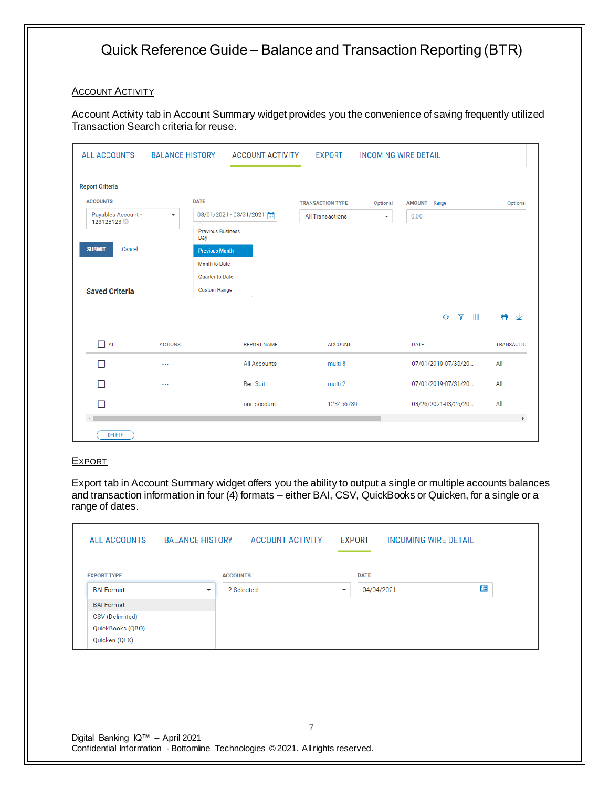#### **ACCOUNT ACTIVITY**

Account Activity tab in Account Summary widget provides you the convenience of saving frequently utilized Transaction Search criteria for reuse.

| <b>ALL ACCOUNTS</b>             | <b>BALANCE HISTORY</b> |                                 | <b>ACCOUNT ACTIVITY</b> | <b>EXPORT</b>           |                          | <b>INCOMING WIRE DETAIL</b>      |                       |
|---------------------------------|------------------------|---------------------------------|-------------------------|-------------------------|--------------------------|----------------------------------|-----------------------|
| <b>Report Criteria</b>          |                        |                                 |                         |                         |                          |                                  |                       |
| <b>ACCOUNTS</b>                 |                        | <b>DATE</b>                     |                         | <b>TRANSACTION TYPE</b> | Optional                 | <b>AMOUNT</b> Range              | Optional              |
| Payables Account -<br>123123123 | ۰                      |                                 | 03/01/2021 - 03/31/2021 | <b>All Transactions</b> | $\overline{\phantom{a}}$ | 0.00                             |                       |
|                                 |                        | <b>Previous Business</b><br>Day |                         |                         |                          |                                  |                       |
| <b>SUBMIT</b><br>Cancel         |                        | <b>Previous Month</b>           |                         |                         |                          |                                  |                       |
|                                 |                        | <b>Month to Date</b>            |                         |                         |                          |                                  |                       |
|                                 |                        | Quarter to Date                 |                         |                         |                          |                                  |                       |
| <b>Saved Criteria</b>           |                        | <b>Custom Range</b>             |                         |                         |                          |                                  |                       |
|                                 |                        |                                 |                         |                         |                          | $O$ $\sqrt{ }$<br>$\blacksquare$ | ● 业                   |
| $\Box$ all                      | <b>ACTIONS</b>         |                                 | <b>REPORT NAME</b>      | <b>ACCOUNT</b>          |                          | <b>DATE</b>                      | <b>TRANSACTIO</b>     |
| П                               | $\cdots$               |                                 | All Accounts            | multi 8                 |                          | 07/01/2019-07/30/20              | All                   |
| П                               | $\sim$ $\sim$          |                                 | <b>Red Suit</b>         | multi 2                 |                          | 07/01/2019-07/31/20              | All                   |
| П                               | $\sim$ $\sim$ $\sim$   |                                 | one account             | 123456789               |                          | 03/26/2021-03/26/20              | All                   |
|                                 |                        |                                 |                         |                         |                          |                                  | $\blacktriangleright$ |
| <b>DELETE</b>                   |                        |                                 |                         |                         |                          |                                  |                       |

### **EXPORT**

Export tab in Account Summary widget offers you the ability to output a single or multiple accounts balances and transaction information in four (4) formats – either BAI, CSV, QuickBooks or Quicken, for a single or a range of dates.

| <b>ALL ACCOUNTS</b> | <b>BALANCE HISTORY</b>   | <b>ACCOUNT ACTIVITY</b> | EXPORT                                 | <b>INCOMING WIRE DETAIL</b> |     |
|---------------------|--------------------------|-------------------------|----------------------------------------|-----------------------------|-----|
| <b>EXPORT TYPE</b>  | <b>ACCOUNTS</b>          |                         | <b>DATE</b>                            |                             |     |
| <b>BAI</b> Format   | $\overline{\phantom{a}}$ | 2 Selected              | 04/04/2021<br>$\overline{\phantom{a}}$ |                             | 898 |
| <b>BAI</b> Format   |                          |                         |                                        |                             |     |
| CSV (Delimited)     |                          |                         |                                        |                             |     |
| QuickBooks (QBO)    |                          |                         |                                        |                             |     |
| Quicken (QFX)       |                          |                         |                                        |                             |     |

7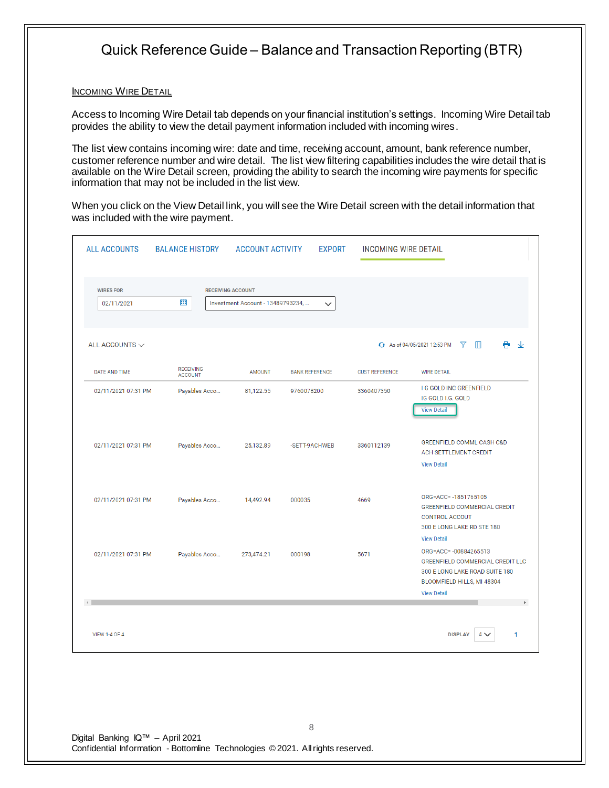#### **INCOMING WIRE DETAIL**

Access to Incoming Wire Detail tab depends on your financial institution's settings. Incoming Wire Detail tab provides the ability to view the detail payment information included with incoming wires.

The list view contains incoming wire: date and time, receiving account, amount, bank reference number, customer reference number and wire detail. The list view filtering capabilities includes the wire detail that is available on the Wire Detail screen, providing the ability to search the incoming wire payments for specific information that may not be included in the list view.

When you click on the View Detail link, you will see the Wire Detail screen with the detail information that was included with the wire payment.

| <b>WIRES FOR</b>                                |                                    | <b>RECEIVING ACCOUNT</b>          |                       |                       |                                                                                                                                                |
|-------------------------------------------------|------------------------------------|-----------------------------------|-----------------------|-----------------------|------------------------------------------------------------------------------------------------------------------------------------------------|
| 02/11/2021                                      | 888                                | Investment Account - 13489793234, | $\checkmark$          |                       |                                                                                                                                                |
| ALL ACCOUNTS $\smallsmile$                      |                                    |                                   |                       |                       | + As of 04/05/2021 12:53 PM<br>$\triangledown$<br>$\blacksquare$                                                                               |
| <b>DATE AND TIME</b>                            | <b>RECEIVING</b><br><b>ACCOUNT</b> | <b>AMOUNT</b>                     | <b>BANK REFERENCE</b> | <b>CUST REFERENCE</b> | <b>WIRE DETAIL</b>                                                                                                                             |
| 02/11/2021 07:31 PM                             | Payables Acco                      | 81,122.55                         | 9760078200            | 3360407350            | <b>I G GOLD INC GREENFIELD</b><br>IG GOLD I.G. GOLD<br><b>View Detail</b>                                                                      |
| 02/11/2021 07:31 PM                             | Payables Acco                      | 25,132.89                         | -SETT-9ACHWEB         | 3360112139            | GREENFIELD COMML CASH C&D<br>ACH SETTLEMENT CREDIT<br><b>View Detail</b>                                                                       |
| 02/11/2021 07:31 PM                             | Payables Acco                      | 14,492.94                         | 000035                | 4669                  | ORG=ACC=-1851765105<br>GREENFIELD COMMERCIAL CREDIT<br><b>CONTROL ACCOUT</b><br>300 E LONG LAKE RD STE 180<br><b>View Detail</b>               |
| 02/11/2021 07:31 PM<br>$\left\  \cdot \right\ $ | Payables Acco                      | 273,474.21                        | 000198                | 5671                  | ORG=ACC=-00884265513<br>GREENFIELD COMMERCIAL CREDIT LLC<br>300 E LONG LAKE ROAD SUITE 180<br>BLOOMFIELD HILLS, MI 48304<br><b>View Detail</b> |
| <b>VIEW 1-4 OF 4</b>                            |                                    |                                   |                       |                       | <b>DISPLAY</b><br>$4\vee$<br>1                                                                                                                 |
|                                                 |                                    |                                   |                       |                       |                                                                                                                                                |